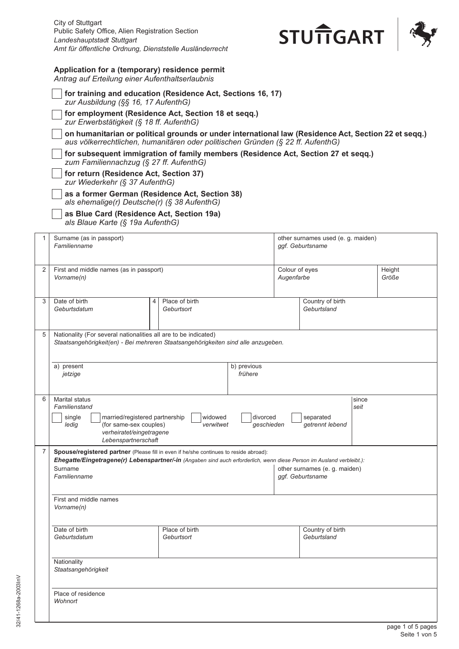

## **Application for a (temporary) residence permit**

*Antrag auf Erteilung einer Aufenthaltserlaubnis*

|   | for training and education (Residence Act, Sections 16, 17)<br>zur Ausbildung (§§ 16, 17 AufenthG)                                                                                                    |                              |                        |                                                        |                                 |               |                 |
|---|-------------------------------------------------------------------------------------------------------------------------------------------------------------------------------------------------------|------------------------------|------------------------|--------------------------------------------------------|---------------------------------|---------------|-----------------|
|   | for employment (Residence Act, Section 18 et seqq.)<br>zur Erwerbstätigkeit (§ 18 ff. AufenthG)                                                                                                       |                              |                        |                                                        |                                 |               |                 |
|   | on humanitarian or political grounds or under international law (Residence Act, Section 22 et seqq.)<br>aus völkerrechtlichen, humanitären oder politischen Gründen (§ 22 ff. AufenthG)               |                              |                        |                                                        |                                 |               |                 |
|   | for subsequent immigration of family members (Residence Act, Section 27 et seqq.)                                                                                                                     |                              |                        |                                                        |                                 |               |                 |
|   | zum Familiennachzug (§ 27 ff. AufenthG)<br>for return (Residence Act, Section 37)                                                                                                                     |                              |                        |                                                        |                                 |               |                 |
|   | zur Wiederkehr (§ 37 AufenthG)<br>as a former German (Residence Act, Section 38)                                                                                                                      |                              |                        |                                                        |                                 |               |                 |
|   | als ehemalige(r) Deutsche(r) (§ 38 AufenthG)<br>as Blue Card (Residence Act, Section 19a)<br>als Blaue Karte (§ 19a AufenthG)                                                                         |                              |                        |                                                        |                                 |               |                 |
| 1 | Surname (as in passport)<br>Familienname                                                                                                                                                              |                              |                        | other surnames used (e. g. maiden)<br>ggf. Geburtsname |                                 |               |                 |
| 2 | First and middle names (as in passport)<br>Vorname(n)                                                                                                                                                 |                              |                        | Colour of eyes<br>Augenfarbe                           |                                 |               | Height<br>Größe |
| 3 | Date of birth<br>4<br>Geburtsdatum                                                                                                                                                                    | Place of birth<br>Geburtsort |                        |                                                        | Country of birth<br>Geburtsland |               |                 |
| 5 | Nationality (For several nationalities all are to be indicated)<br>Staatsangehörigkeit(en) - Bei mehreren Staatsangehörigkeiten sind alle anzugeben.                                                  |                              |                        |                                                        |                                 |               |                 |
|   | a) present<br>jetzige                                                                                                                                                                                 |                              | b) previous<br>frühere |                                                        |                                 |               |                 |
| 6 | <b>Marital status</b><br>Familienstand<br>married/registered partnership<br>single<br>(for same-sex couples)<br>ledig<br>verheiratet/eingetragene<br>Lebenspartnerschaft                              | widowed<br>verwitwet         | divorced<br>geschieden |                                                        | separated<br>getrennt lebend    | since<br>seit |                 |
| 7 | Spouse/registered partner (Please fill in even if he/she continues to reside abroad):                                                                                                                 |                              |                        |                                                        |                                 |               |                 |
|   | Ehegatte/Eingetragene(r) Lebenspartner/-in (Angaben sind auch erforderlich, wenn diese Person im Ausland verbleibt.):<br>Surname<br>other surnames (e. g. maiden)<br>Familienname<br>ggf. Geburtsname |                              |                        |                                                        |                                 |               |                 |
|   | First and middle names<br>Vorname(n)                                                                                                                                                                  |                              |                        |                                                        |                                 |               |                 |
|   | Date of birth<br>Geburtsdatum                                                                                                                                                                         | Place of birth<br>Geburtsort |                        |                                                        | Country of birth<br>Geburtsland |               |                 |
|   | Nationality<br>Staatsangehörigkeit                                                                                                                                                                    |                              |                        |                                                        |                                 |               |                 |
|   | Place of residence<br>Wohnort                                                                                                                                                                         |                              |                        |                                                        |                                 |               |                 |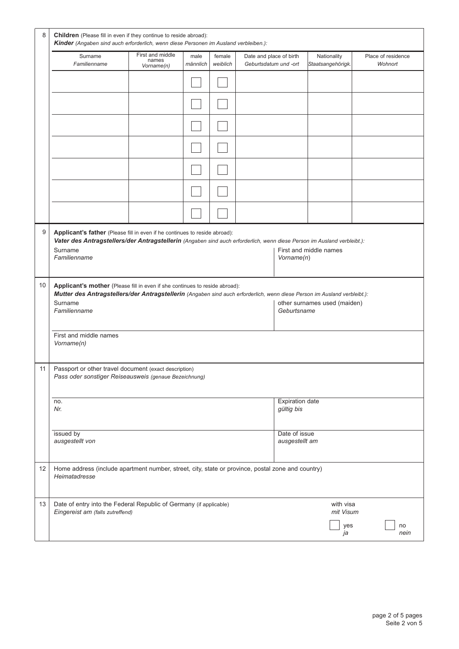|                      | Surname<br>Familienname                                                                                                                                                                                                            | First and middle<br>names<br>Vorname(n) | male<br>männlich | female<br>weiblich | Date and place of birth<br>Geburtsdatum und -ort |                                      | Nationality<br>Staatsangehörigk. | Place of residence<br>Wohnort |
|----------------------|------------------------------------------------------------------------------------------------------------------------------------------------------------------------------------------------------------------------------------|-----------------------------------------|------------------|--------------------|--------------------------------------------------|--------------------------------------|----------------------------------|-------------------------------|
|                      |                                                                                                                                                                                                                                    |                                         |                  |                    |                                                  |                                      |                                  |                               |
|                      |                                                                                                                                                                                                                                    |                                         |                  |                    |                                                  |                                      |                                  |                               |
|                      |                                                                                                                                                                                                                                    |                                         |                  |                    |                                                  |                                      |                                  |                               |
|                      |                                                                                                                                                                                                                                    |                                         |                  |                    |                                                  |                                      |                                  |                               |
|                      |                                                                                                                                                                                                                                    |                                         |                  |                    |                                                  |                                      |                                  |                               |
|                      |                                                                                                                                                                                                                                    |                                         |                  |                    |                                                  |                                      |                                  |                               |
|                      |                                                                                                                                                                                                                                    |                                         |                  |                    |                                                  |                                      |                                  |                               |
|                      |                                                                                                                                                                                                                                    |                                         |                  |                    |                                                  | Vorname(n)                           |                                  |                               |
|                      | Applicant's mother (Please fill in even if she continues to reside abroad):<br>Mutter des Antragstellers/der Antragstellerin (Angaben sind auch erforderlich, wenn diese Person im Ausland verbleibt.):<br>Surname<br>Familienname |                                         |                  |                    |                                                  | Geburtsname                          | other surnames used (maiden)     |                               |
|                      | First and middle names<br>Vorname(n)                                                                                                                                                                                               |                                         |                  |                    |                                                  |                                      |                                  |                               |
|                      | Passport or other travel document (exact description)<br>Pass oder sonstiger Reiseausweis (genaue Bezeichnung)                                                                                                                     |                                         |                  |                    |                                                  |                                      |                                  |                               |
|                      | no.<br>Nr.                                                                                                                                                                                                                         |                                         |                  |                    |                                                  | <b>Expiration date</b><br>gültig bis |                                  |                               |
|                      | issued by<br>ausgestellt von                                                                                                                                                                                                       |                                         |                  |                    |                                                  | Date of issue<br>ausgestellt am      |                                  |                               |
|                      | Home address (include apartment number, street, city, state or province, postal zone and country)<br>Heimatadresse                                                                                                                 |                                         |                  |                    |                                                  |                                      |                                  |                               |
| 10<br>11<br>12<br>13 | Date of entry into the Federal Republic of Germany (if applicable)<br>Eingereist am (falls zutreffend)                                                                                                                             |                                         |                  |                    |                                                  |                                      | with visa<br>mit Visum           |                               |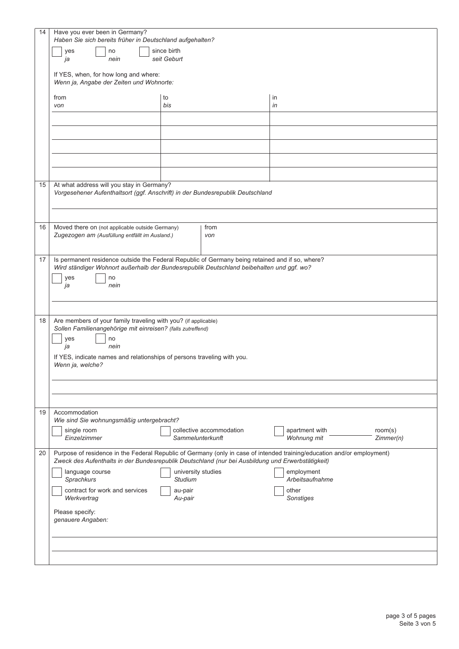| 14 | Have you ever been in Germany?                                                                                                                                                                                               |                                                                                |                               |           |  |
|----|------------------------------------------------------------------------------------------------------------------------------------------------------------------------------------------------------------------------------|--------------------------------------------------------------------------------|-------------------------------|-----------|--|
|    | Haben Sie sich bereits früher in Deutschland aufgehalten?                                                                                                                                                                    |                                                                                |                               |           |  |
|    | since birth<br>yes<br>no                                                                                                                                                                                                     |                                                                                |                               |           |  |
|    | seit Geburt<br>nein<br>ja                                                                                                                                                                                                    |                                                                                |                               |           |  |
|    | If YES, when, for how long and where:<br>Wenn ja, Angabe der Zeiten und Wohnorte:                                                                                                                                            |                                                                                |                               |           |  |
|    | from<br>von                                                                                                                                                                                                                  | to<br>bis                                                                      | in<br>in                      |           |  |
|    |                                                                                                                                                                                                                              |                                                                                |                               |           |  |
|    |                                                                                                                                                                                                                              |                                                                                |                               |           |  |
|    |                                                                                                                                                                                                                              |                                                                                |                               |           |  |
|    |                                                                                                                                                                                                                              |                                                                                |                               |           |  |
|    |                                                                                                                                                                                                                              |                                                                                |                               |           |  |
| 15 | At what address will you stay in Germany?                                                                                                                                                                                    |                                                                                |                               |           |  |
|    |                                                                                                                                                                                                                              | Vorgesehener Aufenthaltsort (ggf. Anschrift) in der Bundesrepublik Deutschland |                               |           |  |
|    |                                                                                                                                                                                                                              |                                                                                |                               |           |  |
| 16 | Moved there on (not applicable outside Germany)<br>Zugezogen am (Ausfüllung entfällt im Ausland.)                                                                                                                            | from<br>von                                                                    |                               |           |  |
|    |                                                                                                                                                                                                                              |                                                                                |                               |           |  |
| 17 | Is permanent residence outside the Federal Republic of Germany being retained and if so, where?                                                                                                                              |                                                                                |                               |           |  |
|    | Wird ständiger Wohnort außerhalb der Bundesrepublik Deutschland beibehalten und ggf. wo?                                                                                                                                     |                                                                                |                               |           |  |
|    | yes<br>no                                                                                                                                                                                                                    |                                                                                |                               |           |  |
|    | nein<br>ja                                                                                                                                                                                                                   |                                                                                |                               |           |  |
|    |                                                                                                                                                                                                                              |                                                                                |                               |           |  |
| 18 | Are members of your family traveling with you? (if applicable)                                                                                                                                                               |                                                                                |                               |           |  |
|    | Sollen Familienangehörige mit einreisen? (falls zutreffend)                                                                                                                                                                  |                                                                                |                               |           |  |
|    | yes<br>no<br>nein<br>ja<br>If YES, indicate names and relationships of persons traveling with you.<br>Wenn ja, welche?                                                                                                       |                                                                                |                               |           |  |
|    |                                                                                                                                                                                                                              |                                                                                |                               |           |  |
|    |                                                                                                                                                                                                                              |                                                                                |                               |           |  |
|    |                                                                                                                                                                                                                              |                                                                                |                               |           |  |
|    |                                                                                                                                                                                                                              |                                                                                |                               |           |  |
|    |                                                                                                                                                                                                                              |                                                                                |                               |           |  |
| 19 | Accommodation<br>Wie sind Sie wohnungsmäßig untergebracht?                                                                                                                                                                   |                                                                                |                               |           |  |
|    | single room                                                                                                                                                                                                                  | collective accommodation                                                       | apartment with                | room(s)   |  |
|    | Einzelzimmer                                                                                                                                                                                                                 | Sammelunterkunft                                                               | Wohnung mit                   | Zimmer(n) |  |
| 20 | Purpose of residence in the Federal Republic of Germany (only in case of intended training/education and/or employment)<br>Zweck des Aufenthalts in der Bundesrepublik Deutschland (nur bei Ausbildung und Erwerbstätigkeit) |                                                                                |                               |           |  |
|    | language course<br>Sprachkurs                                                                                                                                                                                                | university studies<br><b>Studium</b>                                           | employment<br>Arbeitsaufnahme |           |  |
|    | contract for work and services<br>Werkvertrag                                                                                                                                                                                | au-pair<br>Au-pair                                                             | other<br>Sonstiges            |           |  |
|    | Please specify:                                                                                                                                                                                                              |                                                                                |                               |           |  |
|    | genauere Angaben:                                                                                                                                                                                                            |                                                                                |                               |           |  |
|    |                                                                                                                                                                                                                              |                                                                                |                               |           |  |
|    |                                                                                                                                                                                                                              |                                                                                |                               |           |  |
|    |                                                                                                                                                                                                                              |                                                                                |                               |           |  |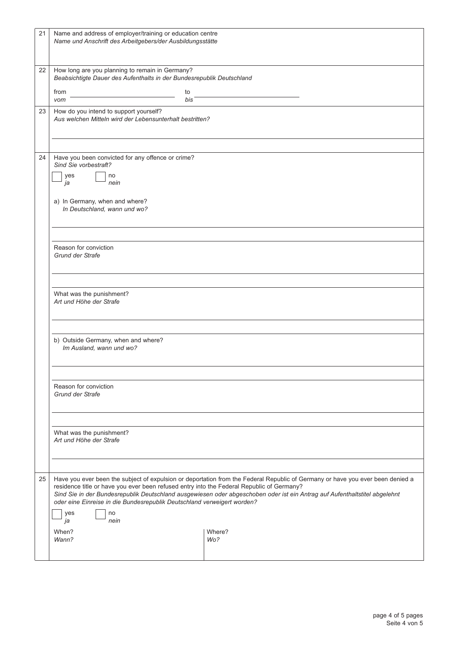| 21 | Name and address of employer/training or education centre<br>Name und Anschrift des Arbeitgebers/der Ausbildungsstätte                                                                                                                                                                                                                                                                                                               |               |  |  |  |  |
|----|--------------------------------------------------------------------------------------------------------------------------------------------------------------------------------------------------------------------------------------------------------------------------------------------------------------------------------------------------------------------------------------------------------------------------------------|---------------|--|--|--|--|
| 22 | How long are you planning to remain in Germany?<br>Beabsichtigte Dauer des Aufenthalts in der Bundesrepublik Deutschland                                                                                                                                                                                                                                                                                                             |               |  |  |  |  |
|    | from<br>to<br>bis<br>vom                                                                                                                                                                                                                                                                                                                                                                                                             |               |  |  |  |  |
| 23 | How do you intend to support yourself?                                                                                                                                                                                                                                                                                                                                                                                               |               |  |  |  |  |
|    | Aus welchen Mitteln wird der Lebensunterhalt bestritten?                                                                                                                                                                                                                                                                                                                                                                             |               |  |  |  |  |
|    |                                                                                                                                                                                                                                                                                                                                                                                                                                      |               |  |  |  |  |
| 24 | Have you been convicted for any offence or crime?<br>Sind Sie vorbestraft?                                                                                                                                                                                                                                                                                                                                                           |               |  |  |  |  |
|    | yes<br>no<br>nein<br>ja                                                                                                                                                                                                                                                                                                                                                                                                              |               |  |  |  |  |
|    |                                                                                                                                                                                                                                                                                                                                                                                                                                      |               |  |  |  |  |
|    | a) In Germany, when and where?<br>In Deutschland, wann und wo?                                                                                                                                                                                                                                                                                                                                                                       |               |  |  |  |  |
|    |                                                                                                                                                                                                                                                                                                                                                                                                                                      |               |  |  |  |  |
|    |                                                                                                                                                                                                                                                                                                                                                                                                                                      |               |  |  |  |  |
|    | Reason for conviction<br><b>Grund der Strafe</b>                                                                                                                                                                                                                                                                                                                                                                                     |               |  |  |  |  |
|    | What was the punishment?                                                                                                                                                                                                                                                                                                                                                                                                             |               |  |  |  |  |
|    |                                                                                                                                                                                                                                                                                                                                                                                                                                      |               |  |  |  |  |
|    | Art und Höhe der Strafe                                                                                                                                                                                                                                                                                                                                                                                                              |               |  |  |  |  |
|    |                                                                                                                                                                                                                                                                                                                                                                                                                                      |               |  |  |  |  |
|    | b) Outside Germany, when and where?<br>Im Ausland, wann und wo?                                                                                                                                                                                                                                                                                                                                                                      |               |  |  |  |  |
|    | Reason for conviction<br><b>Grund der Strafe</b><br>What was the punishment?<br>Art und Höhe der Strafe                                                                                                                                                                                                                                                                                                                              |               |  |  |  |  |
|    |                                                                                                                                                                                                                                                                                                                                                                                                                                      |               |  |  |  |  |
|    |                                                                                                                                                                                                                                                                                                                                                                                                                                      |               |  |  |  |  |
|    |                                                                                                                                                                                                                                                                                                                                                                                                                                      |               |  |  |  |  |
|    |                                                                                                                                                                                                                                                                                                                                                                                                                                      |               |  |  |  |  |
|    |                                                                                                                                                                                                                                                                                                                                                                                                                                      |               |  |  |  |  |
| 25 | Have you ever been the subject of expulsion or deportation from the Federal Republic of Germany or have you ever been denied a<br>residence title or have you ever been refused entry into the Federal Republic of Germany?<br>Sind Sie in der Bundesrepublik Deutschland ausgewiesen oder abgeschoben oder ist ein Antrag auf Aufenthaltstitel abgelehnt<br>oder eine Einreise in die Bundesrepublik Deutschland verweigert worden? |               |  |  |  |  |
|    | yes<br>no<br>nein<br>ja                                                                                                                                                                                                                                                                                                                                                                                                              |               |  |  |  |  |
|    | When?<br>Wann?                                                                                                                                                                                                                                                                                                                                                                                                                       | Where?<br>Wo? |  |  |  |  |
|    |                                                                                                                                                                                                                                                                                                                                                                                                                                      |               |  |  |  |  |
|    |                                                                                                                                                                                                                                                                                                                                                                                                                                      |               |  |  |  |  |